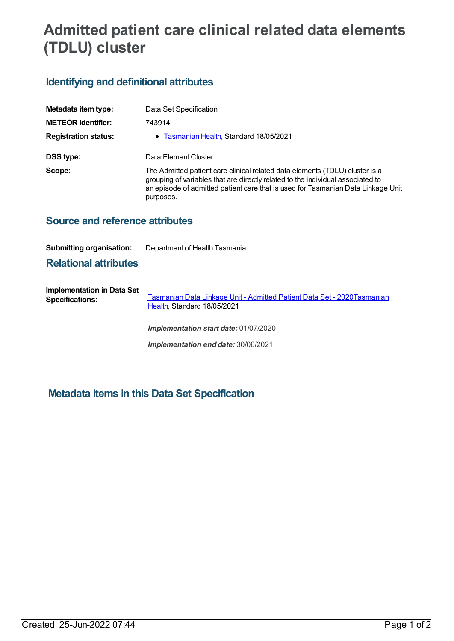# **Admitted patient care clinical related data elements (TDLU) cluster**

## **Identifying and definitional attributes**

| Metadata item type:         | Data Set Specification                                                                                                                                                                                                                                           |  |  |
|-----------------------------|------------------------------------------------------------------------------------------------------------------------------------------------------------------------------------------------------------------------------------------------------------------|--|--|
| <b>METEOR identifier:</b>   | 743914                                                                                                                                                                                                                                                           |  |  |
| <b>Registration status:</b> | • Tasmanian Health, Standard 18/05/2021                                                                                                                                                                                                                          |  |  |
| DSS type:                   | Data Element Cluster                                                                                                                                                                                                                                             |  |  |
| Scope:                      | The Admitted patient care clinical related data elements (TDLU) cluster is a<br>grouping of variables that are directly related to the individual associated to<br>an episode of admitted patient care that is used for Tasmanian Data Linkage Unit<br>purposes. |  |  |

### **Source and reference attributes**

#### **Submitting organisation:** Department of Health Tasmania

#### **Relational attributes**

**Implementation in Data Set Specifications:** [Tasmanian](https://meteor.aihw.gov.au/content/739827) Data Linkage Unit - Admitted Patient Data Set - [2020Tasmanian](https://meteor.aihw.gov.au/RegistrationAuthority/15) Health, Standard 18/05/2021

*Implementation start date:* 01/07/2020

*Implementation end date:* 30/06/2021

## **Metadata items in this Data Set Specification**